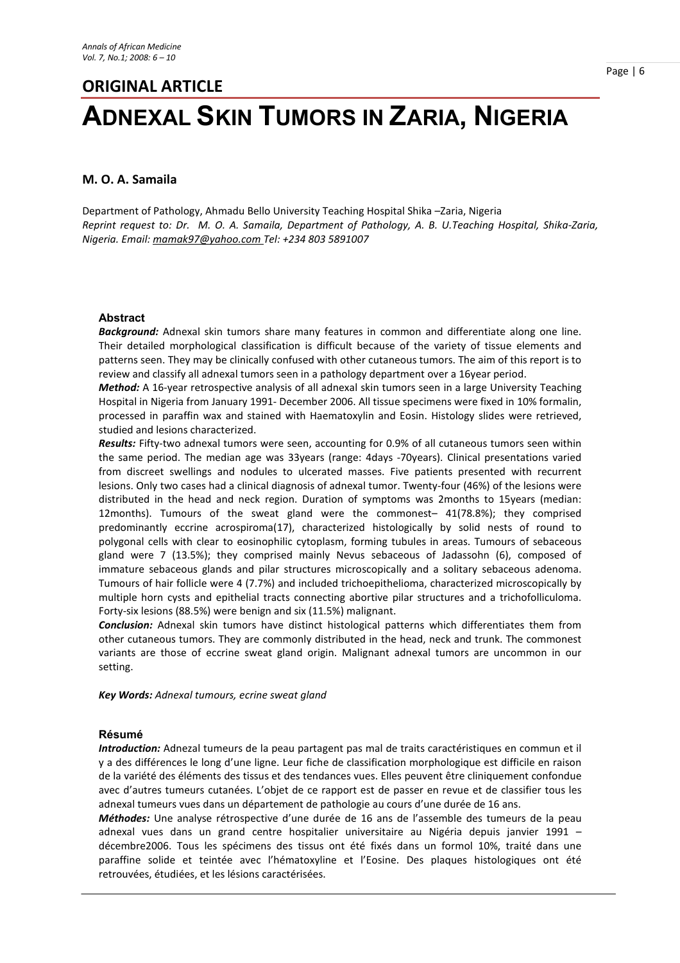# **ORIGINAL ARTICLE ADNEXAL SKIN TUMORS IN ZARIA, NIGERIA**

### **M. O. A. Samaila**

Department of Pathology, Ahmadu Bello University Teaching Hospital Shika –Zaria, Nigeria *Reprint request to: Dr. M. O. A. Samaila, Department of Pathology, A. B. U.Teaching Hospital, Shika-Zaria, Nigeria. Email: mamak97@yahoo.com Tel: +234 803 5891007*

#### **Abstract**

*Background:* Adnexal skin tumors share many features in common and differentiate along one line. Their detailed morphological classification is difficult because of the variety of tissue elements and patterns seen. They may be clinically confused with other cutaneous tumors. The aim of this report is to review and classify all adnexal tumors seen in a pathology department over a 16year period.

*Method:* A 16-year retrospective analysis of all adnexal skin tumors seen in a large University Teaching Hospital in Nigeria from January 1991- December 2006. All tissue specimens were fixed in 10% formalin, processed in paraffin wax and stained with Haematoxylin and Eosin. Histology slides were retrieved, studied and lesions characterized.

*Results:* Fifty-two adnexal tumors were seen, accounting for 0.9% of all cutaneous tumors seen within the same period. The median age was 33years (range: 4days -70years). Clinical presentations varied from discreet swellings and nodules to ulcerated masses. Five patients presented with recurrent lesions. Only two cases had a clinical diagnosis of adnexal tumor. Twenty-four (46%) of the lesions were distributed in the head and neck region. Duration of symptoms was 2months to 15years (median: 12months). Tumours of the sweat gland were the commonest– 41(78.8%); they comprised predominantly eccrine acrospiroma(17), characterized histologically by solid nests of round to polygonal cells with clear to eosinophilic cytoplasm, forming tubules in areas. Tumours of sebaceous gland were 7 (13.5%); they comprised mainly Nevus sebaceous of Jadassohn (6), composed of immature sebaceous glands and pilar structures microscopically and a solitary sebaceous adenoma. Tumours of hair follicle were 4 (7.7%) and included trichoepithelioma, characterized microscopically by multiple horn cysts and epithelial tracts connecting abortive pilar structures and a trichofolliculoma. Forty-six lesions (88.5%) were benign and six (11.5%) malignant.

*Conclusion:* Adnexal skin tumors have distinct histological patterns which differentiates them from other cutaneous tumors. They are commonly distributed in the head, neck and trunk. The commonest variants are those of eccrine sweat gland origin. Malignant adnexal tumors are uncommon in our setting.

*Key Words: Adnexal tumours, ecrine sweat gland*

#### **Résumé**

*Introduction:* Adnezal tumeurs de la peau partagent pas mal de traits caractéristiques en commun et il y a des différences le long d'une ligne. Leur fiche de classification morphologique est difficile en raison de la variété des éléments des tissus et des tendances vues. Elles peuvent être cliniquement confondue avec d'autres tumeurs cutanées. L'objet de ce rapport est de passer en revue et de classifier tous les adnexal tumeurs vues dans un département de pathologie au cours d'une durée de 16 ans.

*Méthodes:* Une analyse rétrospective d'une durée de 16 ans de l'assemble des tumeurs de la peau adnexal vues dans un grand centre hospitalier universitaire au Nigéria depuis janvier 1991 – décembre2006. Tous les spécimens des tissus ont été fixés dans un formol 10%, traité dans une paraffine solide et teintée avec l'hématoxyline et l'Eosine. Des plaques histologiques ont été retrouvées, étudiées, et les lésions caractérisées.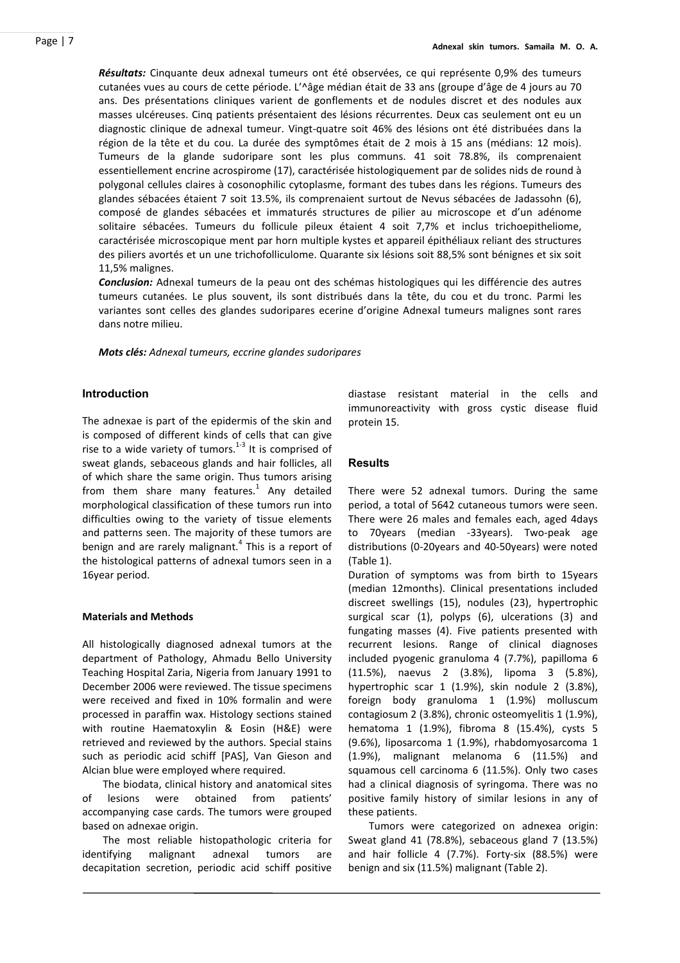*Résultats:* Cinquante deux adnexal tumeurs ont été observées, ce qui représente 0,9% des tumeurs cutanées vues au cours de cette période. L'^âge médian était de 33 ans (groupe d'âge de 4 jours au 70 ans. Des présentations cliniques varient de gonflements et de nodules discret et des nodules aux masses ulcéreuses. Cinq patients présentaient des lésions récurrentes. Deux cas seulement ont eu un diagnostic clinique de adnexal tumeur. Vingt-quatre soit 46% des lésions ont été distribuées dans la région de la tête et du cou. La durée des symptômes était de 2 mois à 15 ans (médians: 12 mois). Tumeurs de la glande sudoripare sont les plus communs. 41 soit 78.8%, ils comprenaient essentiellement encrine acrospirome (17), caractérisée histologiquement par de solides nids de round à polygonal cellules claires à cosonophilic cytoplasme, formant des tubes dans les régions. Tumeurs des glandes sébacées étaient 7 soit 13.5%, ils comprenaient surtout de Nevus sébacées de Jadassohn (6), composé de glandes sébacées et immaturés structures de pilier au microscope et d'un adénome solitaire sébacées. Tumeurs du follicule pileux étaient 4 soit 7,7% et inclus trichoepitheliome, caractérisée microscopique ment par horn multiple kystes et appareil épithéliaux reliant des structures des piliers avortés et un une trichofolliculome. Quarante six lésions soit 88,5% sont bénignes et six soit 11,5% malignes.

*Conclusion:* Adnexal tumeurs de la peau ont des schémas histologiques qui les différencie des autres tumeurs cutanées. Le plus souvent, ils sont distribués dans la tête, du cou et du tronc. Parmi les variantes sont celles des glandes sudoripares ecerine d'origine Adnexal tumeurs malignes sont rares dans notre milieu.

*Mots clés: Adnexal tumeurs, eccrine glandes sudoripares*

#### **Introduction**

The adnexae is part of the epidermis of the skin and is composed of different kinds of cells that can give rise to a wide variety of tumors. $^{1-3}$  It is comprised of sweat glands, sebaceous glands and hair follicles, all of which share the same origin. Thus tumors arising from them share many features. $^1$  Any detailed morphological classification of these tumors run into difficulties owing to the variety of tissue elements and patterns seen. The majority of these tumors are benign and are rarely malignant.<sup>4</sup> This is a report of the histological patterns of adnexal tumors seen in a 16year period.

#### **Materials and Methods**

All histologically diagnosed adnexal tumors at the department of Pathology, Ahmadu Bello University Teaching Hospital Zaria, Nigeria from January 1991 to December 2006 were reviewed. The tissue specimens were received and fixed in 10% formalin and were processed in paraffin wax. Histology sections stained with routine Haematoxylin & Eosin (H&E) were retrieved and reviewed by the authors. Special stains such as periodic acid schiff [PAS], Van Gieson and Alcian blue were employed where required.

The biodata, clinical history and anatomical sites of lesions were obtained from patients' accompanying case cards. The tumors were grouped based on adnexae origin.

The most reliable histopathologic criteria for identifying malignant adnexal tumors are decapitation secretion, periodic acid schiff positive

diastase resistant material in the cells and immunoreactivity with gross cystic disease fluid protein 15.

#### **Results**

There were 52 adnexal tumors. During the same period, a total of 5642 cutaneous tumors were seen. There were 26 males and females each, aged 4days to 70years (median -33years). Two-peak age distributions (0-20years and 40-50years) were noted (Table 1).

Duration of symptoms was from birth to 15years (median 12months). Clinical presentations included discreet swellings (15), nodules (23), hypertrophic surgical scar (1), polyps (6), ulcerations (3) and fungating masses (4). Five patients presented with recurrent lesions. Range of clinical diagnoses included pyogenic granuloma 4 (7.7%), papilloma 6 (11.5%), naevus 2 (3.8%), lipoma 3 (5.8%), hypertrophic scar 1 (1.9%), skin nodule 2 (3.8%), foreign body granuloma 1 (1.9%) molluscum contagiosum 2 (3.8%), chronic osteomyelitis 1 (1.9%), hematoma 1 (1.9%), fibroma 8 (15.4%), cysts 5 (9.6%), liposarcoma 1 (1.9%), rhabdomyosarcoma 1 (1.9%), malignant melanoma 6 (11.5%) and squamous cell carcinoma 6 (11.5%). Only two cases had a clinical diagnosis of syringoma. There was no positive family history of similar lesions in any of these patients.

Tumors were categorized on adnexea origin: Sweat gland 41 (78.8%), sebaceous gland 7 (13.5%) and hair follicle 4 (7.7%). Forty-six (88.5%) were benign and six (11.5%) malignant (Table 2).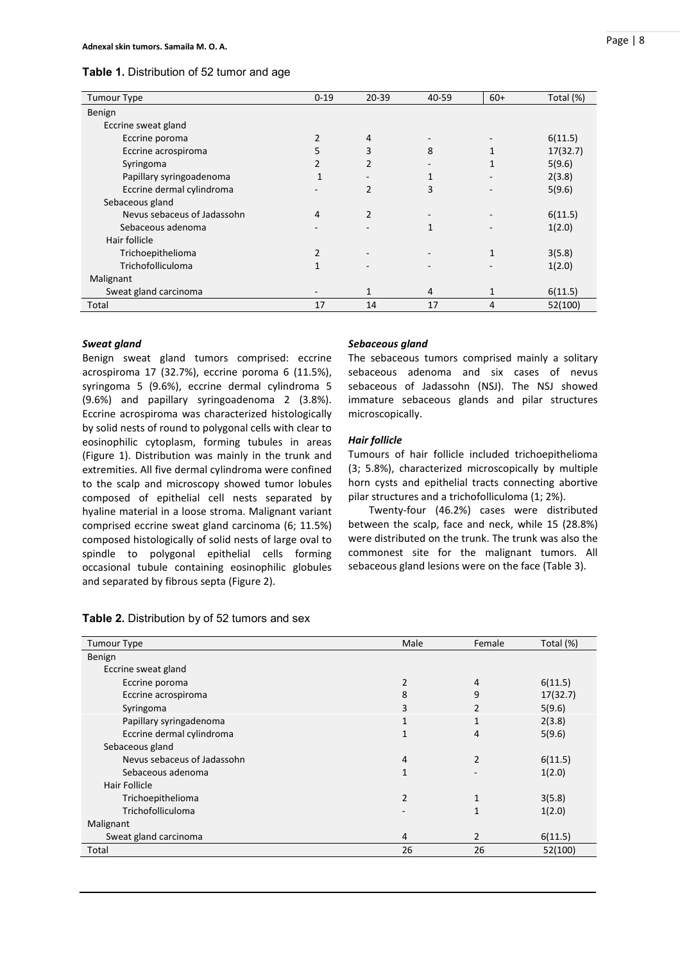| <b>Tumour Type</b>          | $0 - 19$       | 20-39          | 40-59 | $60+$        | Total (%) |
|-----------------------------|----------------|----------------|-------|--------------|-----------|
| Benign                      |                |                |       |              |           |
| Eccrine sweat gland         |                |                |       |              |           |
| Eccrine poroma              | 2              | 4              |       |              | 6(11.5)   |
| Eccrine acrospiroma         | 5              | 3              | 8     |              | 17(32.7)  |
| Syringoma                   | $\overline{2}$ | $\overline{2}$ |       |              | 5(9.6)    |
| Papillary syringoadenoma    | $\mathbf{1}$   |                | 1     |              | 2(3.8)    |
| Eccrine dermal cylindroma   |                | $\overline{2}$ | 3     |              | 5(9.6)    |
| Sebaceous gland             |                |                |       |              |           |
| Nevus sebaceus of Jadassohn | 4              | 2              |       |              | 6(11.5)   |
| Sebaceous adenoma           |                |                | 1     |              | 1(2.0)    |
| Hair follicle               |                |                |       |              |           |
| Trichoepithelioma           | 2              |                |       | $\mathbf{1}$ | 3(5.8)    |
| Trichofolliculoma           | 1              |                |       |              | 1(2.0)    |
| Malignant                   |                |                |       |              |           |
| Sweat gland carcinoma       |                | 1              | 4     | 1            | 6(11.5)   |
| Total                       | 17             | 14             | 17    | 4            | 52(100)   |

#### *Sweat gland*

Benign sweat gland tumors comprised: eccrine acrospiroma 17 (32.7%), eccrine poroma 6 (11.5%), syringoma 5 (9.6%), eccrine dermal cylindroma 5 (9.6%) and papillary syringoadenoma 2 (3.8%). Eccrine acrospiroma was characterized histologically by solid nests of round to polygonal cells with clear to eosinophilic cytoplasm, forming tubules in areas (Figure 1). Distribution was mainly in the trunk and extremities. All five dermal cylindroma were confined to the scalp and microscopy showed tumor lobules composed of epithelial cell nests separated by hyaline material in a loose stroma. Malignant variant comprised eccrine sweat gland carcinoma (6; 11.5%) composed histologically of solid nests of large oval to spindle to polygonal epithelial cells forming occasional tubule containing eosinophilic globules and separated by fibrous septa (Figure 2).

|  | Table 2. Distribution by of 52 tumors and sex |  |  |  |
|--|-----------------------------------------------|--|--|--|
|--|-----------------------------------------------|--|--|--|

## *Sebaceous gland*

The sebaceous tumors comprised mainly a solitary sebaceous adenoma and six cases of nevus sebaceous of Jadassohn (NSJ). The NSJ showed immature sebaceous glands and pilar structures microscopically.

#### *Hair follicle*

Tumours of hair follicle included trichoepithelioma (3; 5.8%), characterized microscopically by multiple horn cysts and epithelial tracts connecting abortive pilar structures and a trichofolliculoma (1; 2%).

Twenty-four (46.2%) cases were distributed between the scalp, face and neck, while 15 (28.8%) were distributed on the trunk. The trunk was also the commonest site for the malignant tumors. All sebaceous gland lesions were on the face (Table 3).

| <b>Tumour Type</b>          | Male           | Female         | Total (%) |
|-----------------------------|----------------|----------------|-----------|
| Benign                      |                |                |           |
| Eccrine sweat gland         |                |                |           |
| Eccrine poroma              | $\overline{2}$ | 4              | 6(11.5)   |
| Eccrine acrospiroma         | 8              | 9              | 17(32.7)  |
| Syringoma                   | 3              | 2              | 5(9.6)    |
| Papillary syringadenoma     | 1              | 1              | 2(3.8)    |
| Eccrine dermal cylindroma   | $\mathbf{1}$   | 4              | 5(9.6)    |
| Sebaceous gland             |                |                |           |
| Nevus sebaceus of Jadassohn | 4              | $\overline{2}$ | 6(11.5)   |
| Sebaceous adenoma           | 1              |                | 1(2.0)    |
| Hair Follicle               |                |                |           |
| Trichoepithelioma           | 2              | 1              | 3(5.8)    |
| Trichofolliculoma           |                | 1              | 1(2.0)    |
| Malignant                   |                |                |           |
| Sweat gland carcinoma       | 4              | $\overline{2}$ | 6(11.5)   |
| Total                       | 26             | 26             | 52(100)   |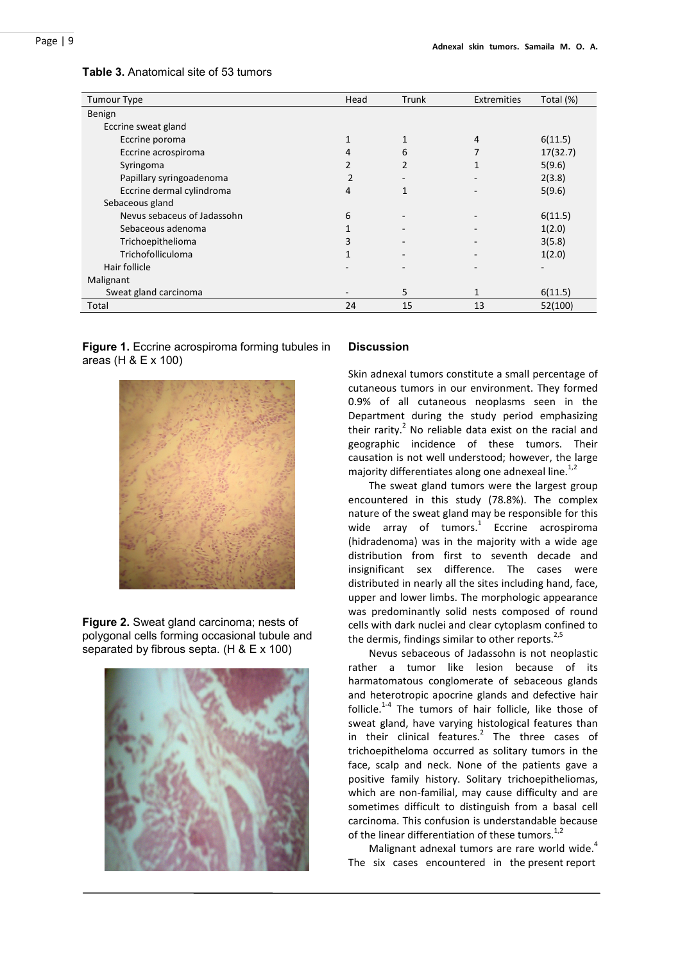| <b>Tumour Type</b>          | Head                     | Trunk          | Extremities | Total (%) |
|-----------------------------|--------------------------|----------------|-------------|-----------|
| Benign                      |                          |                |             |           |
| Eccrine sweat gland         |                          |                |             |           |
| Eccrine poroma              | 1                        | 1              | 4           | 6(11.5)   |
| Eccrine acrospiroma         | 4                        | 6              |             | 17(32.7)  |
| Syringoma                   | 2                        | $\overline{2}$ |             | 5(9.6)    |
| Papillary syringoadenoma    | $\overline{2}$           |                |             | 2(3.8)    |
| Eccrine dermal cylindroma   | 4                        | $\mathbf{1}$   |             | 5(9.6)    |
| Sebaceous gland             |                          |                |             |           |
| Nevus sebaceus of Jadassohn | 6                        | ٠              |             | 6(11.5)   |
| Sebaceous adenoma           | 1                        | -              |             | 1(2.0)    |
| Trichoepithelioma           | 3                        | -              |             | 3(5.8)    |
| Trichofolliculoma           | $\mathbf{1}$             | ٠              |             | 1(2.0)    |
| Hair follicle               |                          |                |             |           |
| Malignant                   |                          |                |             |           |
| Sweat gland carcinoma       | $\overline{\phantom{0}}$ | 5              | 1           | 6(11.5)   |
| Total                       | 24                       | 15             | 13          | 52(100)   |

#### **Table 3.** Anatomical site of 53 tumors

**Figure 1.** Eccrine acrospiroma forming tubules in areas (H & E x 100)



**Figure 2.** Sweat gland carcinoma; nests of polygonal cells forming occasional tubule and separated by fibrous septa. (H & E x 100)



#### **Discussion**

Skin adnexal tumors constitute a small percentage of cutaneous tumors in our environment. They formed 0.9% of all cutaneous neoplasms seen in the Department during the study period emphasizing their rarity. $2$  No reliable data exist on the racial and geographic incidence of these tumors. Their causation is not well understood; however, the large majority differentiates along one adnexeal line. $1/2$ 

The sweat gland tumors were the largest group encountered in this study (78.8%). The complex nature of the sweat gland may be responsible for this wide array of tumors.<sup>1</sup> Eccrine acrospiroma (hidradenoma) was in the majority with a wide age distribution from first to seventh decade and insignificant sex difference. The cases were distributed in nearly all the sites including hand, face, upper and lower limbs. The morphologic appearance was predominantly solid nests composed of round cells with dark nuclei and clear cytoplasm confined to the dermis, findings similar to other reports. $2.5$ 

Nevus sebaceous of Jadassohn is not neoplastic rather a tumor like lesion because of its harmatomatous conglomerate of sebaceous glands and heterotropic apocrine glands and defective hair follicle.<sup>1-4</sup> The tumors of hair follicle, like those of sweat gland, have varying histological features than in their clinical features.<sup>2</sup> The three cases of trichoepitheloma occurred as solitary tumors in the face, scalp and neck. None of the patients gave a positive family history. Solitary trichoepitheliomas, which are non-familial, may cause difficulty and are sometimes difficult to distinguish from a basal cell carcinoma. This confusion is understandable because of the linear differentiation of these tumors.<sup>1,2</sup>

Malignant adnexal tumors are rare world wide. $4$ The six cases encountered in the present report